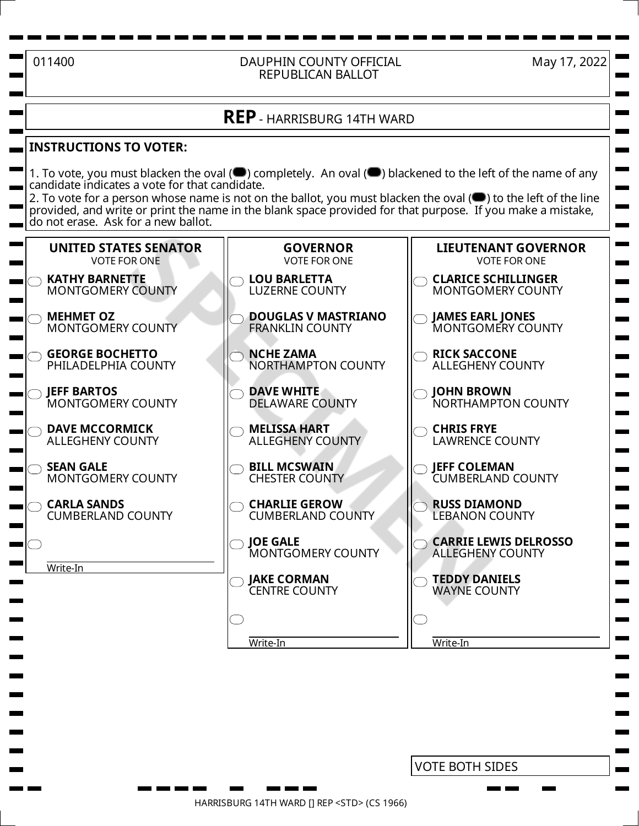## 011400 DAUPHIN COUNTY OFFICIAL REPUBLICAN BALLOT

May 17, 2022

## **REP**- HARRISBURG 14TH WARD

## **INSTRUCTIONS TO VOTER:**

1. To vote, you must blacken the oval (C) completely. An oval (C) blackened to the left of the name of any candidate indicates a vote for that candidate.

2. To vote for a person whose name is not on the ballot, you must blacken the oval  $($ **)** to the left of the line provided, and write or print the name in the blank space provided for that purpose. If you make a mistake, do not erase. Ask for a new ballot.